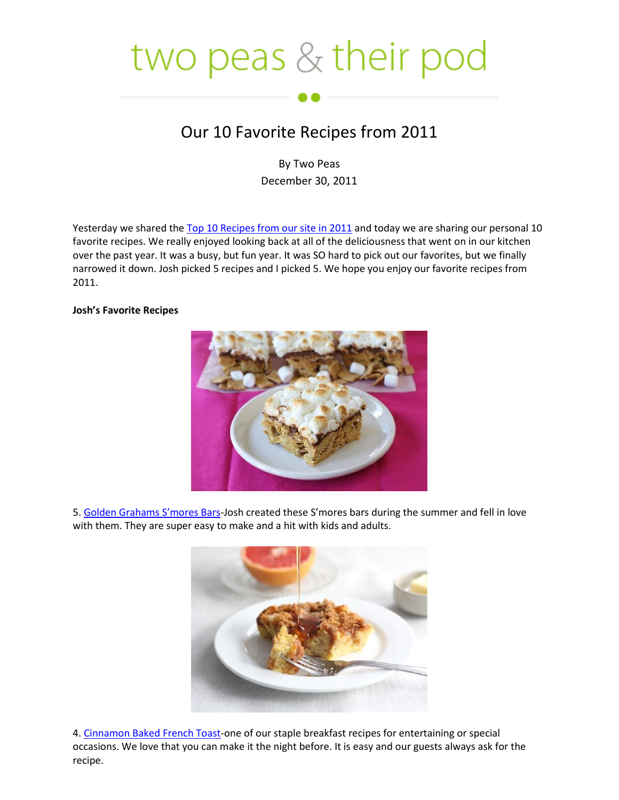## two peas  $&$  their pod

## Our 10 Favorite Recipes from 2011

By Two Peas December 30, 2011

Yesterday we shared the [Top 10 Recipes from our site in 2011](http://www.twopeasandtheirpod.com/top-10-recipes-from-2011/) and today we are sharing our personal 10 favorite recipes. We really enjoyed looking back at all of the deliciousness that went on in our kitchen over the past year. It was a busy, but fun year. It was SO hard to pick out our favorites, but we finally narrowed it down. Josh picked 5 recipes and I picked 5. We hope you enjoy our favorite recipes from 2011.

## **Josh's Favorite Recipes**



5. [Golden Grahams S'mores Bars](http://www.twopeasandtheirpod.com/golden-grahams-smores-bars/)-Josh created these S'mores bars during the summer and fell in love with them. They are super easy to make and a hit with kids and adults.



4. [Cinnamon Baked French Toast-](http://www.twopeasandtheirpod.com/cinnamon-baked-french-toast-from-the-pioneer-woman/)one of our staple breakfast recipes for entertaining or special occasions. We love that you can make it the night before. It is easy and our guests always ask for the recipe.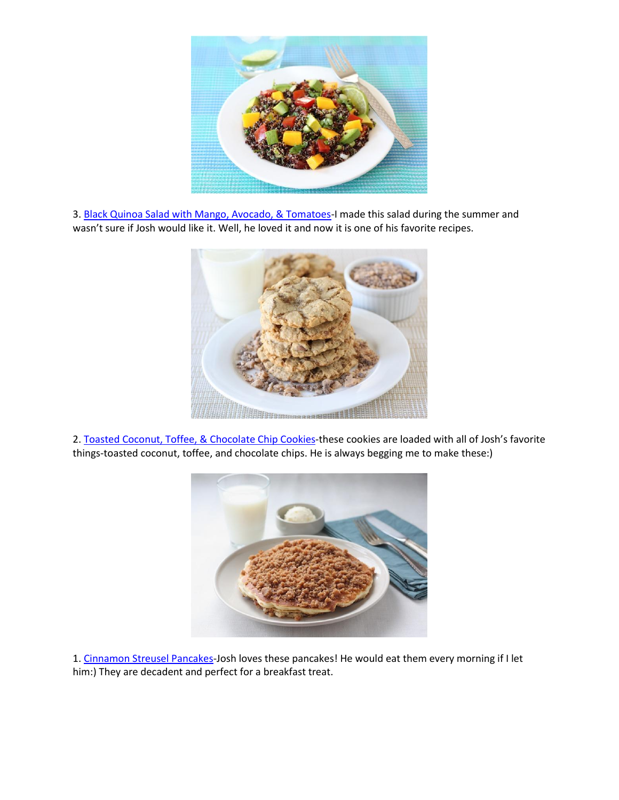

3. [Black Quinoa Salad with Mango, Avocado, & Tomatoes-](http://www.twopeasandtheirpod.com/black-quinoa-salad-with-mango-avocado-tomatoes/)I made this salad during the summer and wasn't sure if Josh would like it. Well, he loved it and now it is one of his favorite recipes.



2. [Toasted Coconut, Toffee, & Chocolate Chip Cookies-](http://www.twopeasandtheirpod.com/toasted-coconut-toffee-chocolate-chip-cookies/)these cookies are loaded with all of Josh's favorite things-toasted coconut, toffee, and chocolate chips. He is always begging me to make these:)



1. [Cinnamon Streusel Pancakes-](http://www.twopeasandtheirpod.com/cinnamon-streusel-pancakes/)Josh loves these pancakes! He would eat them every morning if I let him:) They are decadent and perfect for a breakfast treat.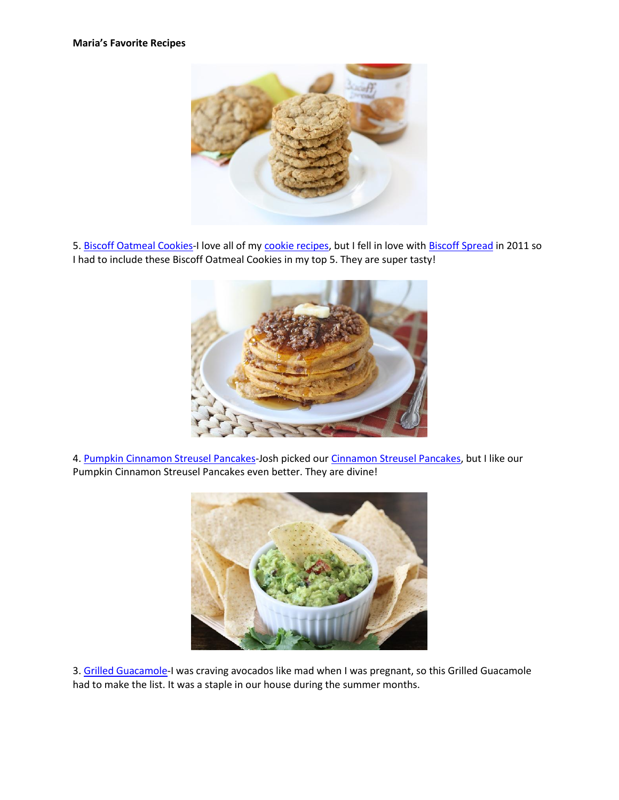

5. [Biscoff Oatmeal Cookies-](http://www.twopeasandtheirpod.com/biscoff-oatmeal-cookies/)I love all of m[y cookie recipes,](http://www.twopeasandtheirpod.com/category/recipes/cookies/) but I fell in love with [Biscoff Spread](http://astore.amazon.com/twpeanthpo-20/detail/B004QKPCYE) in 2011 so I had to include these Biscoff Oatmeal Cookies in my top 5. They are super tasty!



4. [Pumpkin Cinnamon Streusel Pancakes-](http://www.twopeasandtheirpod.com/pumpkin-cinnamon-streusel-pancakes/)Josh picked ou[r Cinnamon Streusel Pancakes,](http://www.twopeasandtheirpod.com/cinnamon-streusel-pancakes/) but I like our Pumpkin Cinnamon Streusel Pancakes even better. They are divine!



3. [Grilled Guacamole-](http://www.twopeasandtheirpod.com/grilled-guacamole/)I was craving avocados like mad when I was pregnant, so this Grilled Guacamole had to make the list. It was a staple in our house during the summer months.